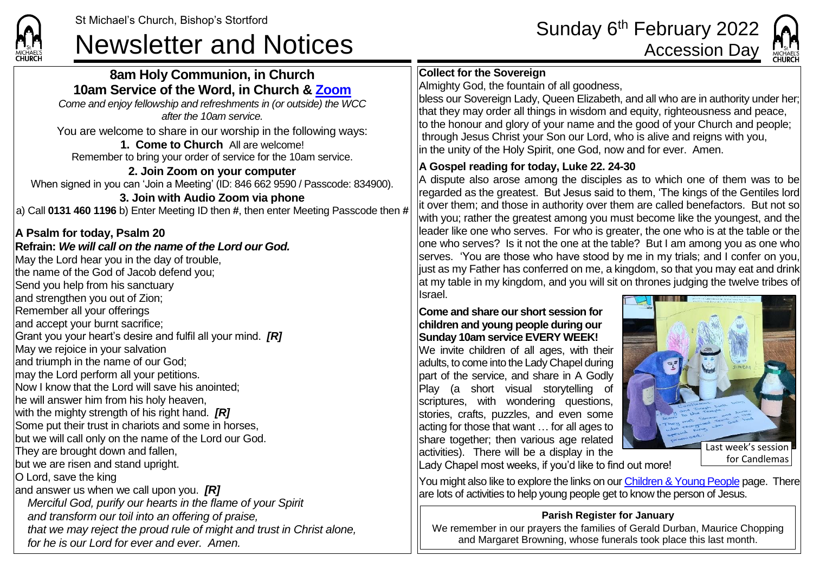**CHURCH** 

# St Michael's Church, Bishop's Stortford<br>Newsletter and Notices **Accession Day**<br>Accession Day

## **8am Holy Communion, in Church 10am Service of the Word, in Church & [Zoom](https://zoom.us/)**

*Come and enjoy fellowship and refreshments in (or outside) the WCC after the 10am service.*

You are welcome to share in our worship in the following ways:

**1. Come to Church** All are welcome! Remember to bring your order of service for the 10am service.

#### **2. Join Zoom on your computer** When signed in you can 'Join a Meeting' (ID: 846 662 9590 / Passcode: 834900). **3. Join with Audio Zoom via phone** a) Call **0131 460 1196** b) Enter Meeting ID then **#**, then enter Meeting Passcode then **#**

## **A Psalm for today, Psalm 20**

**Refrain:** *We will call on the name of the Lord our God.* May the Lord hear you in the day of trouble, the name of the God of Jacob defend you; Send you help from his sanctuary and strengthen you out of Zion; Remember all your offerings and accept your burnt sacrifice; Grant you your heart's desire and fulfil all your mind. *[R]* May we rejoice in your salvation and triumph in the name of our God; may the Lord perform all your petitions. Now I know that the Lord will save his anointed; he will answer him from his holy heaven, with the mighty strength of his right hand. *[R]* Some put their trust in chariots and some in horses, but we will call only on the name of the Lord our God. They are brought down and fallen, but we are risen and stand upright. O Lord, save the king and answer us when we call upon you. *[R] Merciful God, purify our hearts in the flame of your Spirit and transform our toil into an offering of praise, that we may reject the proud rule of might and trust in Christ alone, for he is our Lord for ever and ever. Amen.*

## **Collect for the Sovereign**

Almighty God, the fountain of all goodness,

bless our Sovereign Lady, Queen Elizabeth, and all who are in authority under her; that they may order all things in wisdom and equity, righteousness and peace, to the honour and glory of your name and the good of your Church and people; through Jesus Christ your Son our Lord, who is alive and reigns with you, in the unity of the Holy Spirit, one God, now and for ever. Amen.

## **A Gospel reading for today, Luke 22. 24-30**

A dispute also arose among the disciples as to which one of them was to be regarded as the greatest. But Jesus said to them, 'The kings of the Gentiles lord it over them; and those in authority over them are called benefactors. But not so with you; rather the greatest among you must become like the youngest, and the leader like one who serves. For who is greater, the one who is at the table or the one who serves? Is it not the one at the table? But I am among you as one who serves. 'You are those who have stood by me in my trials; and I confer on you, just as my Father has conferred on me, a kingdom, so that you may eat and drink at my table in my kingdom, and you will sit on thrones judging the twelve tribes of Israel.

#### **Come and share our short session for children and young people during our Sunday 10am service EVERY WEEK!**

We invite children of all ages, with their adults, to come into the Lady Chapel during part of the service, and share in A Godly Play (a short visual storytelling of scriptures, with wondering questions, stories, crafts, puzzles, and even some acting for those that want … for all ages to share together; then various age related activities). There will be a display in the



Lady Chapel most weeks, if you'd like to find out more!

You might also like to explore the links on ou[r Children & Young People](https://saintmichaelweb.org.uk/Groups/310496/Children_and_Young.aspx) page. There are lots of activities to help young people get to know the person of Jesus.

### **Parish Register for January**

We remember in our prayers the families of Gerald Durban, Maurice Chopping and Margaret Browning, whose funerals took place this last month.